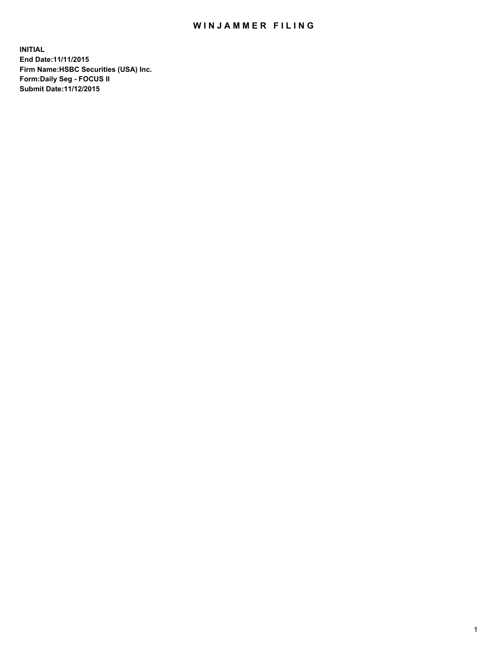## WIN JAMMER FILING

**INITIAL End Date:11/11/2015 Firm Name:HSBC Securities (USA) Inc. Form:Daily Seg - FOCUS II Submit Date:11/12/2015**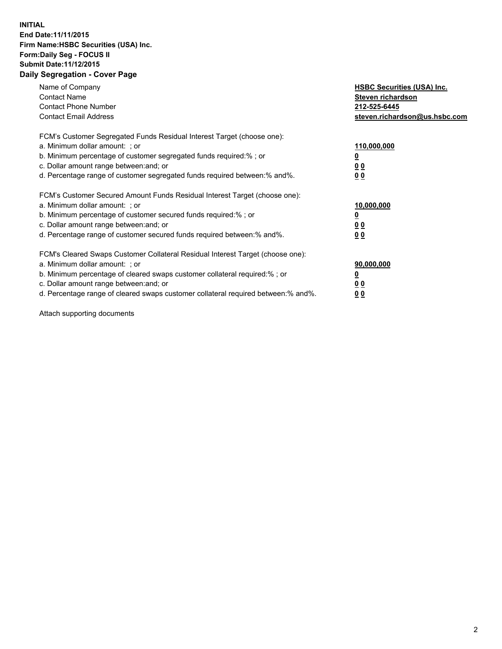## **INITIAL End Date:11/11/2015 Firm Name:HSBC Securities (USA) Inc. Form:Daily Seg - FOCUS II Submit Date:11/12/2015 Daily Segregation - Cover Page**

| Name of Company<br><b>Contact Name</b><br><b>Contact Phone Number</b><br><b>Contact Email Address</b>                                                                                                                                                                                                                         | <b>HSBC Securities (USA) Inc.</b><br>Steven richardson<br>212-525-6445<br>steven.richardson@us.hsbc.com |
|-------------------------------------------------------------------------------------------------------------------------------------------------------------------------------------------------------------------------------------------------------------------------------------------------------------------------------|---------------------------------------------------------------------------------------------------------|
| FCM's Customer Segregated Funds Residual Interest Target (choose one):<br>a. Minimum dollar amount: ; or<br>b. Minimum percentage of customer segregated funds required:%; or<br>c. Dollar amount range between: and; or<br>d. Percentage range of customer segregated funds required between:% and%.                         | 110,000,000<br><u>0</u><br>0 <sub>0</sub><br>0 <sub>0</sub>                                             |
| FCM's Customer Secured Amount Funds Residual Interest Target (choose one):<br>a. Minimum dollar amount: ; or<br>b. Minimum percentage of customer secured funds required:%; or<br>c. Dollar amount range between: and; or<br>d. Percentage range of customer secured funds required between:% and%.                           | 10,000,000<br><u>0</u><br>0 <sub>0</sub><br>0 <sub>0</sub>                                              |
| FCM's Cleared Swaps Customer Collateral Residual Interest Target (choose one):<br>a. Minimum dollar amount: ; or<br>b. Minimum percentage of cleared swaps customer collateral required:%; or<br>c. Dollar amount range between: and; or<br>d. Percentage range of cleared swaps customer collateral required between:% and%. | 90,000,000<br><u>0</u><br>0 <sub>0</sub><br>0 <sub>0</sub>                                              |

Attach supporting documents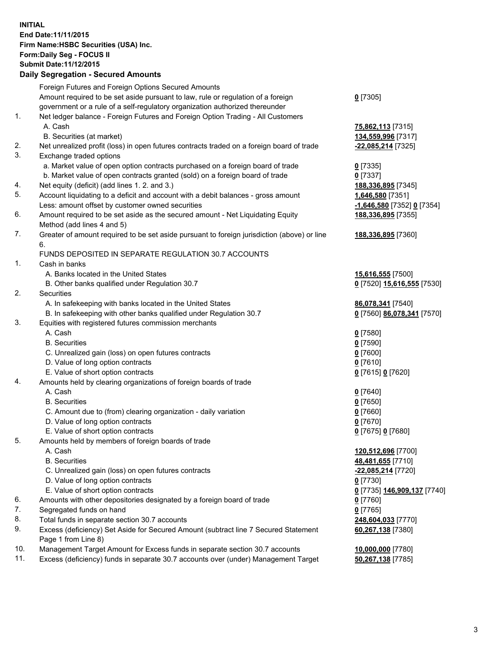**INITIAL End Date:11/11/2015 Firm Name:HSBC Securities (USA) Inc. Form:Daily Seg - FOCUS II Submit Date:11/12/2015 Daily Segregation - Secured Amounts** Foreign Futures and Foreign Options Secured Amounts Amount required to be set aside pursuant to law, rule or regulation of a foreign government or a rule of a self-regulatory organization authorized thereunder 1. Net ledger balance - Foreign Futures and Foreign Option Trading - All Customers A. Cash **75,862,113** [7315] B. Securities (at market) **134,559,996** [7317]

- 2. Net unrealized profit (loss) in open futures contracts traded on a foreign board of trade **-22,085,214** [7325]
- 3. Exchange traded options
	- a. Market value of open option contracts purchased on a foreign board of trade **0** [7335]
	- b. Market value of open contracts granted (sold) on a foreign board of trade **0** [7337]
- 4. Net equity (deficit) (add lines 1. 2. and 3.) **188,336,895** [7345]
- 5. Account liquidating to a deficit and account with a debit balances gross amount **1,646,580** [7351] Less: amount offset by customer owned securities **-1,646,580** [7352] **0** [7354]
- 6. Amount required to be set aside as the secured amount Net Liquidating Equity Method (add lines 4 and 5)
- 7. Greater of amount required to be set aside pursuant to foreign jurisdiction (above) or line 6.

## FUNDS DEPOSITED IN SEPARATE REGULATION 30.7 ACCOUNTS

- 1. Cash in banks
	- A. Banks located in the United States **15,616,555** [7500]
	- B. Other banks qualified under Regulation 30.7 **0** [7520] **15,616,555** [7530]
- 2. Securities
	- A. In safekeeping with banks located in the United States **86,078,341** [7540]
	- B. In safekeeping with other banks qualified under Regulation 30.7 **0** [7560] **86,078,341** [7570]
- 3. Equities with registered futures commission merchants
	-
	-
	- C. Unrealized gain (loss) on open futures contracts **0** [7600]
	- D. Value of long option contracts **0** [7610]
	- E. Value of short option contracts **0** [7615] **0** [7620]
- 4. Amounts held by clearing organizations of foreign boards of trade
	-
	-
	- C. Amount due to (from) clearing organization daily variation **0** [7660]
	- D. Value of long option contracts **0** [7670]
	- E. Value of short option contracts **0** [7675] **0** [7680]
- 5. Amounts held by members of foreign boards of trade
	-
	-
	- C. Unrealized gain (loss) on open futures contracts **-22,085,214** [7720]
	- D. Value of long option contracts **0** [7730]
	- E. Value of short option contracts **0** [7735] **146,909,137** [7740]
- 6. Amounts with other depositories designated by a foreign board of trade **0** [7760]
- 7. Segregated funds on hand **0** [7765]
- 8. Total funds in separate section 30.7 accounts **248,604,033** [7770]
- 9. Excess (deficiency) Set Aside for Secured Amount (subtract line 7 Secured Statement Page 1 from Line 8)
- 10. Management Target Amount for Excess funds in separate section 30.7 accounts **10,000,000** [7780]
- 11. Excess (deficiency) funds in separate 30.7 accounts over (under) Management Target **50,267,138** [7785]
- **0** [7305]
- 
- **188,336,895** [7355]
- **188,336,895** [7360]
- 
- 
- A. Cash **0** [7580] B. Securities **0** [7590]
- A. Cash **0** [7640] B. Securities **0** [7650]
- A. Cash **120,512,696** [7700] B. Securities **48,481,655** [7710] **60,267,138** [7380]
	-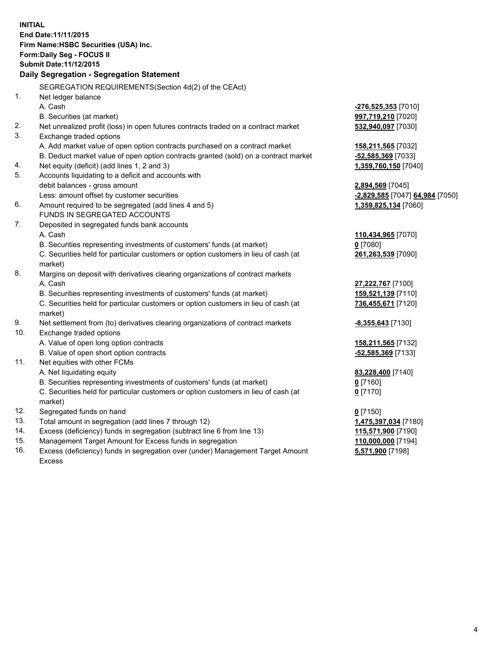**INITIAL End Date:11/11/2015 Firm Name:HSBC Securities (USA) Inc. Form:Daily Seg - FOCUS II Submit Date:11/12/2015 Daily Segregation - Segregation Statement** SEGREGATION REQUIREMENTS(Section 4d(2) of the CEAct) 1. Net ledger balance A. Cash **-276,525,353** [7010] B. Securities (at market) **997,719,210** [7020] 2. Net unrealized profit (loss) in open futures contracts traded on a contract market **532,940,097** [7030] 3. Exchange traded options A. Add market value of open option contracts purchased on a contract market **158,211,565** [7032] B. Deduct market value of open option contracts granted (sold) on a contract market **-52,585,369** [7033] 4. Net equity (deficit) (add lines 1, 2 and 3) **1,359,760,150** [7040] 5. Accounts liquidating to a deficit and accounts with debit balances - gross amount **2,894,569** [7045] Less: amount offset by customer securities **and the securities <b>-2,829,585** [7047] **64,984** [7050] 6. Amount required to be segregated (add lines 4 and 5) **1,359,825,134** [7060] FUNDS IN SEGREGATED ACCOUNTS 7. Deposited in segregated funds bank accounts A. Cash **110,434,965** [7070] B. Securities representing investments of customers' funds (at market) **0** [7080] C. Securities held for particular customers or option customers in lieu of cash (at market) **261,263,539** [7090] 8. Margins on deposit with derivatives clearing organizations of contract markets A. Cash **27,222,767** [7100] B. Securities representing investments of customers' funds (at market) **159,521,139** [7110] C. Securities held for particular customers or option customers in lieu of cash (at market) **736,455,671** [7120] 9. Net settlement from (to) derivatives clearing organizations of contract markets **-8,355,643** [7130] 10. Exchange traded options A. Value of open long option contracts **158,211,565** [7132] B. Value of open short option contracts **-52,585,369** [7133] 11. Net equities with other FCMs A. Net liquidating equity **83,228,400** [7140] B. Securities representing investments of customers' funds (at market) **0** [7160] C. Securities held for particular customers or option customers in lieu of cash (at market) **0** [7170] 12. Segregated funds on hand **0** [7150] 13. Total amount in segregation (add lines 7 through 12) **1,475,397,034** [7180] 14. Excess (deficiency) funds in segregation (subtract line 6 from line 13) **115,571,900** [7190] 15. Management Target Amount for Excess funds in segregation **110,000,000** [7194]

16. Excess (deficiency) funds in segregation over (under) Management Target Amount Excess

**5,571,900** [7198]